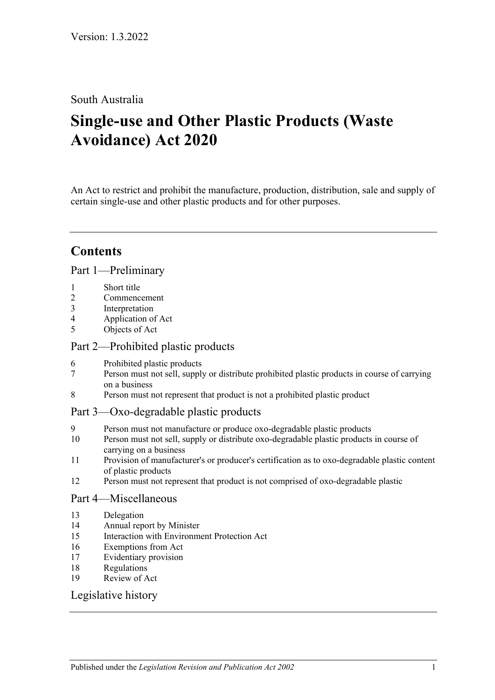### South Australia

# **Single-use and Other Plastic Products (Waste Avoidance) Act 2020**

An Act to restrict and prohibit the manufacture, production, distribution, sale and supply of certain single-use and other plastic products and for other purposes.

# **Contents**

Part [1—Preliminary](#page-1-0)

- 1 [Short title](#page-1-1)
- 2 [Commencement](#page-1-2)
- 3 [Interpretation](#page-1-3)
- 4 [Application of Act](#page-1-4)
- 5 [Objects of Act](#page-1-5)

#### Part [2—Prohibited plastic products](#page-2-0)

- 6 [Prohibited plastic products](#page-2-1)
- 7 [Person must not sell, supply or distribute prohibited plastic products in course of carrying](#page-2-2)  [on a business](#page-2-2)
- 8 [Person must not represent that product is not a prohibited plastic product](#page-3-0)
- Part [3—Oxo-degradable plastic products](#page-4-0)
- 9 [Person must not manufacture or produce oxo-degradable plastic products](#page-4-1)
- 10 [Person must not sell, supply or distribute oxo-degradable plastic products in course of](#page-4-2)  [carrying on a business](#page-4-2)
- 11 [Provision of manufacturer's or producer's certification as to oxo-degradable plastic content](#page-5-0)  [of plastic products](#page-5-0)
- 12 [Person must not represent that product is not comprised of oxo-degradable plastic](#page-5-1)

#### Part [4—Miscellaneous](#page-5-2)

- 13 [Delegation](#page-5-3)
- 14 [Annual report by Minister](#page-6-0)
- 15 [Interaction with Environment Protection Act](#page-7-0)
- 16 [Exemptions from Act](#page-7-1)
- 17 [Evidentiary provision](#page-7-2)
- 18 [Regulations](#page-7-3)
- 19 [Review of Act](#page-8-0)

#### [Legislative history](#page-9-0)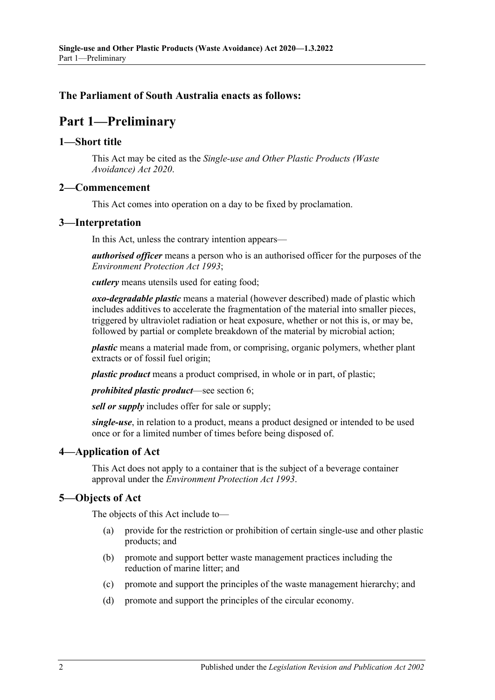#### <span id="page-1-0"></span>**The Parliament of South Australia enacts as follows:**

## **Part 1—Preliminary**

#### <span id="page-1-1"></span>**1—Short title**

This Act may be cited as the *Single-use and Other Plastic Products (Waste Avoidance) Act 2020*.

#### <span id="page-1-2"></span>**2—Commencement**

This Act comes into operation on a day to be fixed by proclamation.

#### <span id="page-1-3"></span>**3—Interpretation**

In this Act, unless the contrary intention appears—

*authorised officer* means a person who is an authorised officer for the purposes of the *[Environment Protection Act](http://www.legislation.sa.gov.au/index.aspx?action=legref&type=act&legtitle=Environment%20Protection%20Act%201993) 1993*;

*cutlery* means utensils used for eating food;

*oxo-degradable plastic* means a material (however described) made of plastic which includes additives to accelerate the fragmentation of the material into smaller pieces, triggered by ultraviolet radiation or heat exposure, whether or not this is, or may be, followed by partial or complete breakdown of the material by microbial action;

*plastic* means a material made from, or comprising, organic polymers, whether plant extracts or of fossil fuel origin;

*plastic product* means a product comprised, in whole or in part, of plastic;

*prohibited plastic product*—see [section](#page-2-1) 6;

*sell or supply* includes offer for sale or supply;

*single-use*, in relation to a product, means a product designed or intended to be used once or for a limited number of times before being disposed of.

#### <span id="page-1-4"></span>**4—Application of Act**

This Act does not apply to a container that is the subject of a beverage container approval under the *[Environment Protection Act](http://www.legislation.sa.gov.au/index.aspx?action=legref&type=act&legtitle=Environment%20Protection%20Act%201993) 1993*.

#### <span id="page-1-5"></span>**5—Objects of Act**

The objects of this Act include to—

- (a) provide for the restriction or prohibition of certain single-use and other plastic products; and
- (b) promote and support better waste management practices including the reduction of marine litter; and
- (c) promote and support the principles of the waste management hierarchy; and
- (d) promote and support the principles of the circular economy.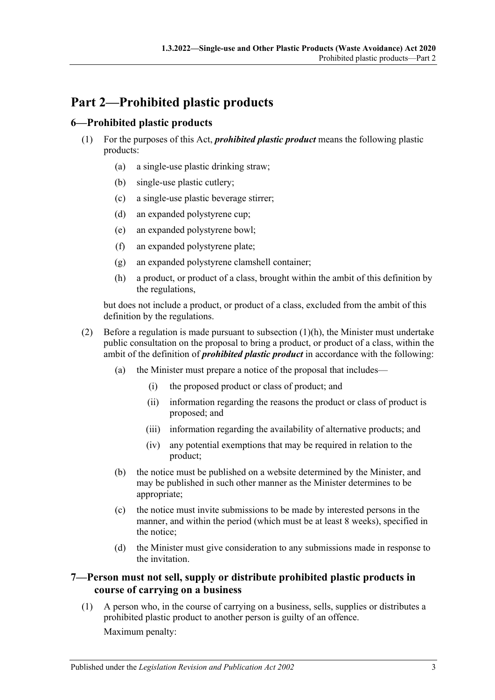# <span id="page-2-0"></span>**Part 2—Prohibited plastic products**

#### <span id="page-2-1"></span>**6—Prohibited plastic products**

- (1) For the purposes of this Act, *prohibited plastic product* means the following plastic products:
	- (a) a single-use plastic drinking straw;
	- (b) single-use plastic cutlery;
	- (c) a single-use plastic beverage stirrer;
	- (d) an expanded polystyrene cup;
	- (e) an expanded polystyrene bowl;
	- (f) an expanded polystyrene plate;
	- (g) an expanded polystyrene clamshell container;
	- (h) a product, or product of a class, brought within the ambit of this definition by the regulations,

<span id="page-2-3"></span>but does not include a product, or product of a class, excluded from the ambit of this definition by the regulations.

- (2) Before a regulation is made pursuant to [subsection](#page-2-3)  $(1)(h)$ , the Minister must undertake public consultation on the proposal to bring a product, or product of a class, within the ambit of the definition of *prohibited plastic product* in accordance with the following:
	- (a) the Minister must prepare a notice of the proposal that includes—
		- (i) the proposed product or class of product; and
		- (ii) information regarding the reasons the product or class of product is proposed; and
		- (iii) information regarding the availability of alternative products; and
		- (iv) any potential exemptions that may be required in relation to the product;
	- (b) the notice must be published on a website determined by the Minister, and may be published in such other manner as the Minister determines to be appropriate;
	- (c) the notice must invite submissions to be made by interested persons in the manner, and within the period (which must be at least 8 weeks), specified in the notice;
	- (d) the Minister must give consideration to any submissions made in response to the invitation.

#### <span id="page-2-2"></span>**7—Person must not sell, supply or distribute prohibited plastic products in course of carrying on a business**

<span id="page-2-4"></span>(1) A person who, in the course of carrying on a business, sells, supplies or distributes a prohibited plastic product to another person is guilty of an offence. Maximum penalty: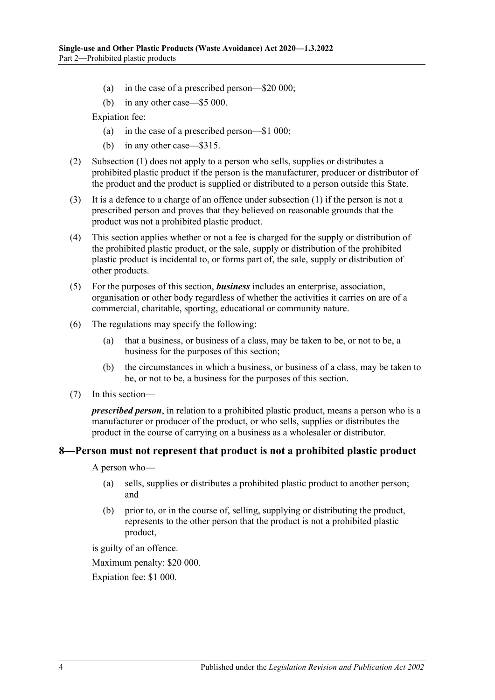- (a) in the case of a prescribed person—\$20 000;
- (b) in any other case—\$5 000.

Expiation fee:

- (a) in the case of a prescribed person—\$1 000;
- (b) in any other case—\$315.
- (2) [Subsection](#page-2-4) (1) does not apply to a person who sells, supplies or distributes a prohibited plastic product if the person is the manufacturer, producer or distributor of the product and the product is supplied or distributed to a person outside this State.
- (3) It is a defence to a charge of an offence under [subsection](#page-2-4) (1) if the person is not a prescribed person and proves that they believed on reasonable grounds that the product was not a prohibited plastic product.
- (4) This section applies whether or not a fee is charged for the supply or distribution of the prohibited plastic product, or the sale, supply or distribution of the prohibited plastic product is incidental to, or forms part of, the sale, supply or distribution of other products.
- (5) For the purposes of this section, *business* includes an enterprise, association, organisation or other body regardless of whether the activities it carries on are of a commercial, charitable, sporting, educational or community nature.
- (6) The regulations may specify the following:
	- (a) that a business, or business of a class, may be taken to be, or not to be, a business for the purposes of this section;
	- (b) the circumstances in which a business, or business of a class, may be taken to be, or not to be, a business for the purposes of this section.
- (7) In this section—

*prescribed person*, in relation to a prohibited plastic product, means a person who is a manufacturer or producer of the product, or who sells, supplies or distributes the product in the course of carrying on a business as a wholesaler or distributor.

#### <span id="page-3-0"></span>**8—Person must not represent that product is not a prohibited plastic product**

A person who—

- (a) sells, supplies or distributes a prohibited plastic product to another person; and
- (b) prior to, or in the course of, selling, supplying or distributing the product, represents to the other person that the product is not a prohibited plastic product,

is guilty of an offence.

Maximum penalty: \$20 000.

Expiation fee: \$1 000.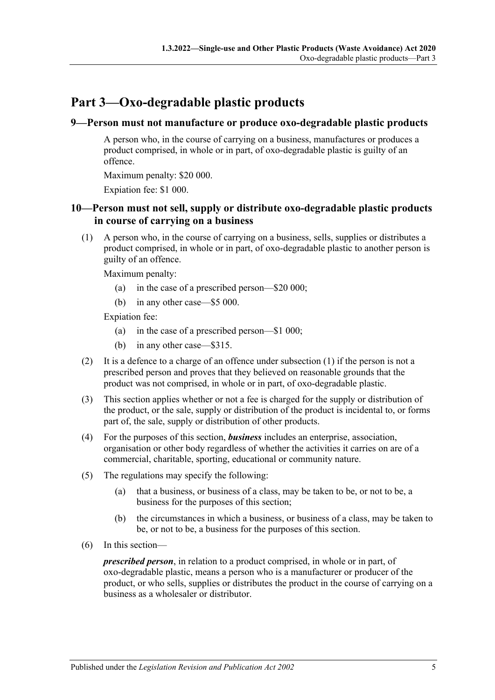# <span id="page-4-0"></span>**Part 3—Oxo-degradable plastic products**

#### <span id="page-4-1"></span>**9—Person must not manufacture or produce oxo-degradable plastic products**

A person who, in the course of carrying on a business, manufactures or produces a product comprised, in whole or in part, of oxo-degradable plastic is guilty of an offence.

Maximum penalty: \$20 000.

Expiation fee: \$1 000.

#### <span id="page-4-2"></span>**10—Person must not sell, supply or distribute oxo-degradable plastic products in course of carrying on a business**

<span id="page-4-3"></span>(1) A person who, in the course of carrying on a business, sells, supplies or distributes a product comprised, in whole or in part, of oxo-degradable plastic to another person is guilty of an offence.

Maximum penalty:

- (a) in the case of a prescribed person—\$20 000;
- (b) in any other case—\$5 000.

Expiation fee:

- (a) in the case of a prescribed person—\$1 000;
- (b) in any other case—\$315.
- (2) It is a defence to a charge of an offence under [subsection](#page-4-3)  $(1)$  if the person is not a prescribed person and proves that they believed on reasonable grounds that the product was not comprised, in whole or in part, of oxo-degradable plastic.
- (3) This section applies whether or not a fee is charged for the supply or distribution of the product, or the sale, supply or distribution of the product is incidental to, or forms part of, the sale, supply or distribution of other products.
- (4) For the purposes of this section, *business* includes an enterprise, association, organisation or other body regardless of whether the activities it carries on are of a commercial, charitable, sporting, educational or community nature.
- (5) The regulations may specify the following:
	- (a) that a business, or business of a class, may be taken to be, or not to be, a business for the purposes of this section;
	- (b) the circumstances in which a business, or business of a class, may be taken to be, or not to be, a business for the purposes of this section.
- (6) In this section—

*prescribed person*, in relation to a product comprised, in whole or in part, of oxo-degradable plastic, means a person who is a manufacturer or producer of the product, or who sells, supplies or distributes the product in the course of carrying on a business as a wholesaler or distributor.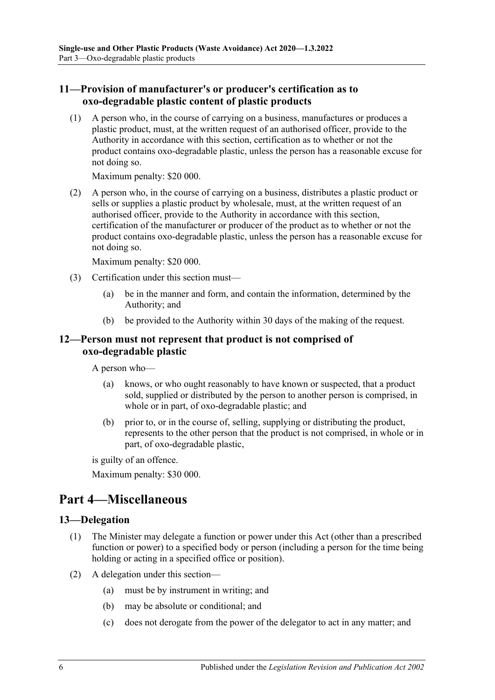#### <span id="page-5-0"></span>**11—Provision of manufacturer's or producer's certification as to oxo-degradable plastic content of plastic products**

(1) A person who, in the course of carrying on a business, manufactures or produces a plastic product, must, at the written request of an authorised officer, provide to the Authority in accordance with this section, certification as to whether or not the product contains oxo-degradable plastic, unless the person has a reasonable excuse for not doing so.

Maximum penalty: \$20 000.

(2) A person who, in the course of carrying on a business, distributes a plastic product or sells or supplies a plastic product by wholesale, must, at the written request of an authorised officer, provide to the Authority in accordance with this section, certification of the manufacturer or producer of the product as to whether or not the product contains oxo-degradable plastic, unless the person has a reasonable excuse for not doing so.

Maximum penalty: \$20 000.

- (3) Certification under this section must—
	- (a) be in the manner and form, and contain the information, determined by the Authority; and
	- (b) be provided to the Authority within 30 days of the making of the request.

#### <span id="page-5-1"></span>**12—Person must not represent that product is not comprised of oxo-degradable plastic**

A person who—

- (a) knows, or who ought reasonably to have known or suspected, that a product sold, supplied or distributed by the person to another person is comprised, in whole or in part, of oxo-degradable plastic; and
- (b) prior to, or in the course of, selling, supplying or distributing the product, represents to the other person that the product is not comprised, in whole or in part, of oxo-degradable plastic,

is guilty of an offence.

Maximum penalty: \$30 000.

# <span id="page-5-2"></span>**Part 4—Miscellaneous**

#### <span id="page-5-3"></span>**13—Delegation**

- (1) The Minister may delegate a function or power under this Act (other than a prescribed function or power) to a specified body or person (including a person for the time being holding or acting in a specified office or position).
- (2) A delegation under this section—
	- (a) must be by instrument in writing; and
	- (b) may be absolute or conditional; and
	- (c) does not derogate from the power of the delegator to act in any matter; and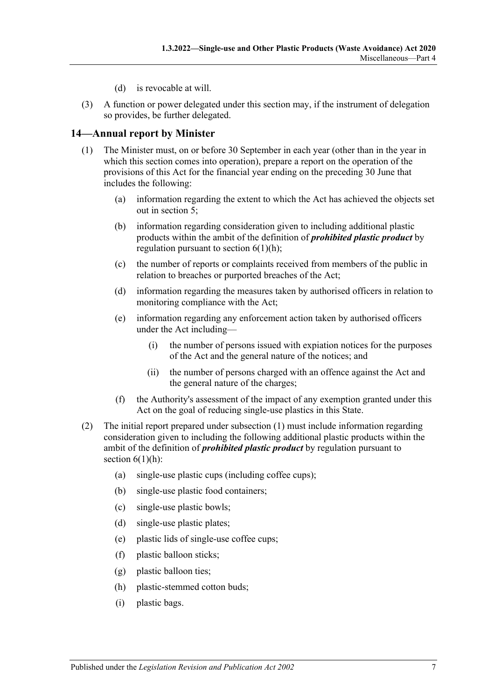- (d) is revocable at will.
- (3) A function or power delegated under this section may, if the instrument of delegation so provides, be further delegated.

#### <span id="page-6-1"></span><span id="page-6-0"></span>**14—Annual report by Minister**

- (1) The Minister must, on or before 30 September in each year (other than in the year in which this section comes into operation), prepare a report on the operation of the provisions of this Act for the financial year ending on the preceding 30 June that includes the following:
	- (a) information regarding the extent to which the Act has achieved the objects set out in [section](#page-1-5) 5;
	- (b) information regarding consideration given to including additional plastic products within the ambit of the definition of *prohibited plastic product* by regulation pursuant to section  $6(1)(h)$ ;
	- (c) the number of reports or complaints received from members of the public in relation to breaches or purported breaches of the Act;
	- (d) information regarding the measures taken by authorised officers in relation to monitoring compliance with the Act;
	- (e) information regarding any enforcement action taken by authorised officers under the Act including—
		- (i) the number of persons issued with expiation notices for the purposes of the Act and the general nature of the notices; and
		- (ii) the number of persons charged with an offence against the Act and the general nature of the charges;
	- (f) the Authority's assessment of the impact of any exemption granted under this Act on the goal of reducing single-use plastics in this State.
- (2) The initial report prepared under [subsection](#page-6-1) (1) must include information regarding consideration given to including the following additional plastic products within the ambit of the definition of *prohibited plastic product* by regulation pursuant to section  $6(1)(h)$ :
	- (a) single-use plastic cups (including coffee cups);
	- (b) single-use plastic food containers;
	- (c) single-use plastic bowls;
	- (d) single-use plastic plates;
	- (e) plastic lids of single-use coffee cups;
	- (f) plastic balloon sticks;
	- (g) plastic balloon ties;
	- (h) plastic-stemmed cotton buds;
	- (i) plastic bags.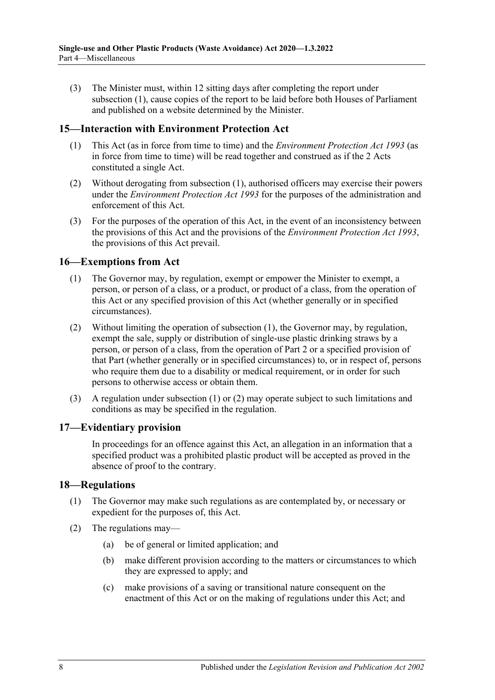(3) The Minister must, within 12 sitting days after completing the report under [subsection](#page-6-1) (1), cause copies of the report to be laid before both Houses of Parliament and published on a website determined by the Minister.

#### <span id="page-7-4"></span><span id="page-7-0"></span>**15—Interaction with Environment Protection Act**

- (1) This Act (as in force from time to time) and the *[Environment Protection Act](http://www.legislation.sa.gov.au/index.aspx?action=legref&type=act&legtitle=Environment%20Protection%20Act%201993) 1993* (as in force from time to time) will be read together and construed as if the 2 Acts constituted a single Act.
- (2) Without derogating from [subsection](#page-7-4) (1), authorised officers may exercise their powers under the *[Environment Protection Act](http://www.legislation.sa.gov.au/index.aspx?action=legref&type=act&legtitle=Environment%20Protection%20Act%201993) 1993* for the purposes of the administration and enforcement of this Act.
- (3) For the purposes of the operation of this Act, in the event of an inconsistency between the provisions of this Act and the provisions of the *[Environment Protection Act](http://www.legislation.sa.gov.au/index.aspx?action=legref&type=act&legtitle=Environment%20Protection%20Act%201993) 1993*, the provisions of this Act prevail.

#### <span id="page-7-5"></span><span id="page-7-1"></span>**16—Exemptions from Act**

- (1) The Governor may, by regulation, exempt or empower the Minister to exempt, a person, or person of a class, or a product, or product of a class, from the operation of this Act or any specified provision of this Act (whether generally or in specified circumstances).
- <span id="page-7-6"></span>(2) Without limiting the operation of [subsection](#page-7-5) (1), the Governor may, by regulation, exempt the sale, supply or distribution of single-use plastic drinking straws by a person, or person of a class, from the operation of [Part](#page-2-0) 2 or a specified provision of that Part (whether generally or in specified circumstances) to, or in respect of, persons who require them due to a disability or medical requirement, or in order for such persons to otherwise access or obtain them.
- (3) A regulation under [subsection](#page-7-5) (1) or [\(2\)](#page-7-6) may operate subject to such limitations and conditions as may be specified in the regulation.

#### <span id="page-7-2"></span>**17—Evidentiary provision**

In proceedings for an offence against this Act, an allegation in an information that a specified product was a prohibited plastic product will be accepted as proved in the absence of proof to the contrary.

#### <span id="page-7-3"></span>**18—Regulations**

- (1) The Governor may make such regulations as are contemplated by, or necessary or expedient for the purposes of, this Act.
- (2) The regulations may—
	- (a) be of general or limited application; and
	- (b) make different provision according to the matters or circumstances to which they are expressed to apply; and
	- (c) make provisions of a saving or transitional nature consequent on the enactment of this Act or on the making of regulations under this Act; and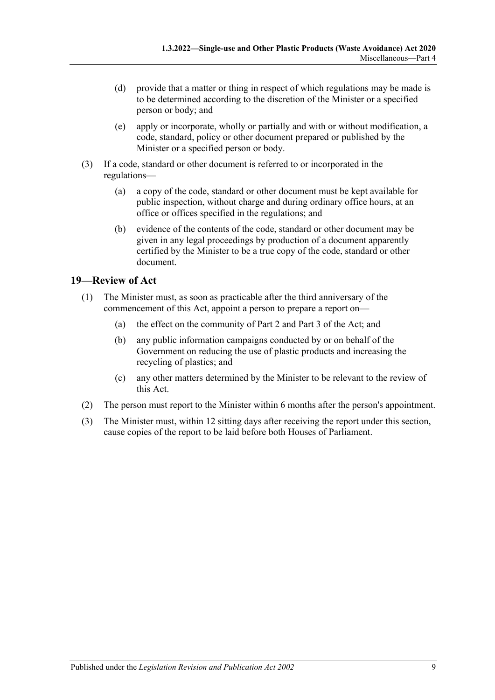- (d) provide that a matter or thing in respect of which regulations may be made is to be determined according to the discretion of the Minister or a specified person or body; and
- (e) apply or incorporate, wholly or partially and with or without modification, a code, standard, policy or other document prepared or published by the Minister or a specified person or body.
- (3) If a code, standard or other document is referred to or incorporated in the regulations—
	- (a) a copy of the code, standard or other document must be kept available for public inspection, without charge and during ordinary office hours, at an office or offices specified in the regulations; and
	- (b) evidence of the contents of the code, standard or other document may be given in any legal proceedings by production of a document apparently certified by the Minister to be a true copy of the code, standard or other document.

#### <span id="page-8-0"></span>**19—Review of Act**

- (1) The Minister must, as soon as practicable after the third anniversary of the commencement of this Act, appoint a person to prepare a report on—
	- (a) the effect on the community of [Part](#page-2-0) 2 and [Part](#page-4-0) 3 of the Act; and
	- (b) any public information campaigns conducted by or on behalf of the Government on reducing the use of plastic products and increasing the recycling of plastics; and
	- (c) any other matters determined by the Minister to be relevant to the review of this Act.
- (2) The person must report to the Minister within 6 months after the person's appointment.
- (3) The Minister must, within 12 sitting days after receiving the report under this section, cause copies of the report to be laid before both Houses of Parliament.